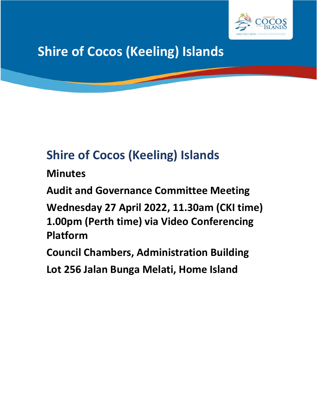

**Shire of Cocos (Keeling) Islands**

# **Shire of Cocos (Keeling) Islands**

**Minutes**

**Audit and Governance Committee Meeting Wednesday 27 April 2022, 11.30am (CKI time) 1.00pm (Perth time) via Video Conferencing Platform**

**Council Chambers, Administration Building**

**Lot 256 Jalan Bunga Melati, Home Island**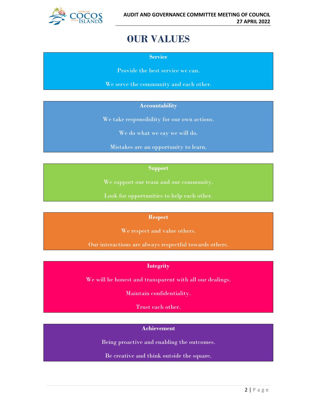

# **OUR VALUES**

**Service**

Provide the best service we can.

We serve the community and each other.

#### **Accountability**

We take responsibility for our own actions.

We do what we say we will do.

Mistakes are an opportunity to learn.

#### **Support**

We support our team and our community.

Look for opportunities to help each other.

#### **Respect**

We respect and value others.

Our interactions are always respectful towards others.

#### **Integrity**

We will be honest and transparent with all our dealings.

Maintain confidentiality.

Trust each other.

#### **Achievement**

Being proactive and enabling the outcomes.

Be creative and think outside the square.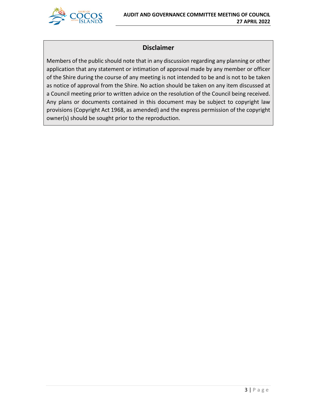

# **Disclaimer**

Members of the public should note that in any discussion regarding any planning or other application that any statement or intimation of approval made by any member or officer of the Shire during the course of any meeting is not intended to be and is not to be taken as notice of approval from the Shire. No action should be taken on any item discussed at a Council meeting prior to written advice on the resolution of the Council being received. Any plans or documents contained in this document may be subject to copyright law provisions (Copyright Act 1968, as amended) and the express permission of the copyright owner(s) should be sought prior to the reproduction.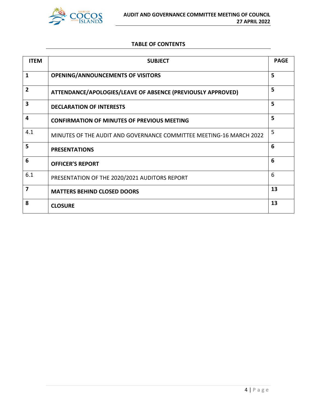

#### **TABLE OF CONTENTS**

| <b>ITEM</b>    | <b>SUBJECT</b>                                                      | <b>PAGE</b> |
|----------------|---------------------------------------------------------------------|-------------|
| 1              | <b>OPENING/ANNOUNCEMENTS OF VISITORS</b>                            | 5           |
| $\overline{2}$ | ATTENDANCE/APOLOGIES/LEAVE OF ABSENCE (PREVIOUSLY APPROVED)         | 5           |
| 3              | <b>DECLARATION OF INTERESTS</b>                                     | 5           |
| 4              | <b>CONFIRMATION OF MINUTES OF PREVIOUS MEETING</b>                  | 5           |
| 4.1            | MINUTES OF THE AUDIT AND GOVERNANCE COMMITTEE MEETING-16 MARCH 2022 | 5           |
| 5              | <b>PRESENTATIONS</b>                                                | 6           |
| 6              | <b>OFFICER'S REPORT</b>                                             | 6           |
| 6.1            | PRESENTATION OF THE 2020/2021 AUDITORS REPORT                       | 6           |
| 7              | <b>MATTERS BEHIND CLOSED DOORS</b>                                  | 13          |
| 8              | <b>CLOSURE</b>                                                      | 13          |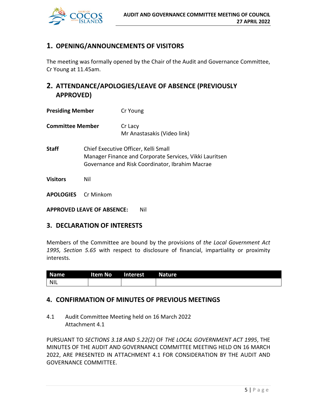

# **1. OPENING/ANNOUNCEMENTS OF VISITORS**

The meeting was formally opened by the Chair of the Audit and Governance Committee, Cr Young at 11.45am.

# **2. ATTENDANCE/APOLOGIES/LEAVE OF ABSENCE (PREVIOUSLY APPROVED)**

| <b>Presiding Member</b><br><b>Committee Member</b><br>Staff |  | Cr Young<br>Cr Lacy<br>Mr Anastasakis (Video link) |     |  |  |
|-------------------------------------------------------------|--|----------------------------------------------------|-----|--|--|
|                                                             |  |                                                    |     |  |  |
|                                                             |  | Visitors                                           | Nil |  |  |
| <b>APOLOGIES</b> Cr Minkom                                  |  |                                                    |     |  |  |

**APPROVED LEAVE OF ABSENCE:** Nil

# **3. DECLARATION OF INTERESTS**

Members of the Committee are bound by the provisions of *the Local Government Act 1995, Section 5.65* with respect to disclosure of financial, impartiality or proximity interests.

| <b>Name</b> | ltem No | Interest | <b>Nature</b> |
|-------------|---------|----------|---------------|
| NIL         |         |          |               |

# **4. CONFIRMATION OF MINUTES OF PREVIOUS MEETINGS**

4.1 Audit Committee Meeting held on 16 March 2022 Attachment 4.1

PURSUANT TO *SECTIONS 3.18 AND 5.22(2)* OF *THE LOCAL GOVERNMENT ACT 1995*, THE MINUTES OF THE AUDIT AND GOVERNANCE COMMITTEE MEETING HELD ON 16 MARCH 2022, ARE PRESENTED IN ATTACHMENT 4.1 FOR CONSIDERATION BY THE AUDIT AND GOVERNANCE COMMITTEE.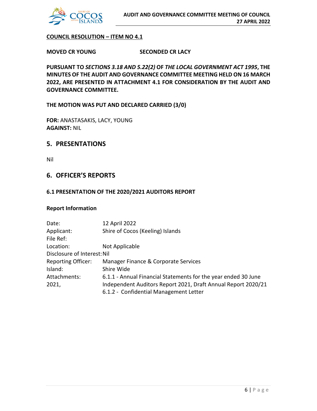

#### **COUNCIL RESOLUTION – ITEM NO 4.1**

**MOVED CR YOUNG SECONDED CR LACY**

**PURSUANT TO** *SECTIONS 3.18 AND 5.22(2)* **OF** *THE LOCAL GOVERNMENT ACT 1995***, THE MINUTES OF THE AUDIT AND GOVERNANCE COMMITTEE MEETING HELD ON 16 MARCH 2022, ARE PRESENTED IN ATTACHMENT 4.1 FOR CONSIDERATION BY THE AUDIT AND GOVERNANCE COMMITTEE.**

**THE MOTION WAS PUT AND DECLARED CARRIED (3/0)**

**FOR:** ANASTASAKIS, LACY, YOUNG **AGAINST:** NIL

#### **5. PRESENTATIONS**

Nil

### **6. OFFICER'S REPORTS**

#### **6.1 PRESENTATION OF THE 2020/2021 AUDITORS REPORT**

#### **Report Information**

| Date:                       | 12 April 2022                                                  |
|-----------------------------|----------------------------------------------------------------|
| Applicant:                  | Shire of Cocos (Keeling) Islands                               |
| File Ref:                   |                                                                |
| Location:                   | Not Applicable                                                 |
| Disclosure of Interest: Nil |                                                                |
| <b>Reporting Officer:</b>   | Manager Finance & Corporate Services                           |
| Island:                     | Shire Wide                                                     |
| Attachments:                | 6.1.1 - Annual Financial Statements for the year ended 30 June |
| 2021,                       | Independent Auditors Report 2021, Draft Annual Report 2020/21  |
|                             | 6.1.2 - Confidential Management Letter                         |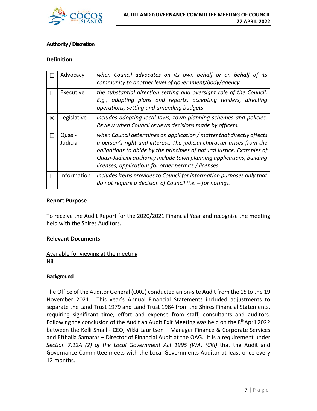

#### **Authority / Discretion**

#### **Definition**

|   | Advocacy           | when Council advocates on its own behalf or on behalf of its<br>community to another level of government/body/agency.                                                                                                                                                                                                                                     |  |  |  |
|---|--------------------|-----------------------------------------------------------------------------------------------------------------------------------------------------------------------------------------------------------------------------------------------------------------------------------------------------------------------------------------------------------|--|--|--|
|   | Executive          | the substantial direction setting and oversight role of the Council.<br>E.g., adopting plans and reports, accepting tenders, directing<br>operations, setting and amending budgets.                                                                                                                                                                       |  |  |  |
| 区 | Legislative        | includes adopting local laws, town planning schemes and policies.<br>Review when Council reviews decisions made by officers.                                                                                                                                                                                                                              |  |  |  |
|   | Quasi-<br>Judicial | when Council determines an application / matter that directly affects<br>a person's right and interest. The judicial character arises from the<br>obligations to abide by the principles of natural justice. Examples of<br>Quasi-Judicial authority include town planning applications, building<br>licenses, applications for other permits / licenses. |  |  |  |
|   | Information        | Includes items provides to Council for information purposes only that<br>do not require a decision of Council (i.e. - for noting).                                                                                                                                                                                                                        |  |  |  |

#### **Report Purpose**

To receive the Audit Report for the 2020/2021 Financial Year and recognise the meeting held with the Shires Auditors.

#### **Relevant Documents**

#### Available for viewing at the meeting Nil

#### **Background**

The Office of the Auditor General (OAG) conducted an on-site Audit from the 15 to the 19 November 2021. This year's Annual Financial Statements included adjustments to separate the Land Trust 1979 and Land Trust 1984 from the Shires Financial Statements, requiring significant time, effort and expense from staff, consultants and auditors. Following the conclusion of the Audit an Audit Exit Meeting was held on the 8<sup>th</sup>April 2022 between the Kelli Small - CEO, Vikki Lauritsen – Manager Finance & Corporate Services and Efthalia Samaras – Director of Financial Audit at the OAG. It is a requirement under *Section 7.12A (2) of the Local Government Act 1995 (WA) (CKI)* that the Audit and Governance Committee meets with the Local Governments Auditor at least once every 12 months.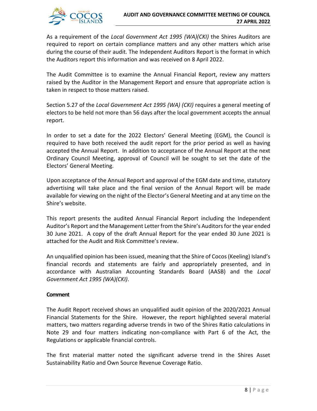

As a requirement of the *Local Government Act 1995 (WA)(CKI)* the Shires Auditors are required to report on certain compliance matters and any other matters which arise during the course of their audit. The Independent Auditors Report is the format in which the Auditors report this information and was received on 8 April 2022.

The Audit Committee is to examine the Annual Financial Report, review any matters raised by the Auditor in the Management Report and ensure that appropriate action is taken in respect to those matters raised.

Section 5.27 of the *Local Government Act 1995 (WA) (CKI)* requires a general meeting of electors to be held not more than 56 days after the local government accepts the annual report.

In order to set a date for the 2022 Electors' General Meeting (EGM), the Council is required to have both received the audit report for the prior period as well as having accepted the Annual Report. In addition to acceptance of the Annual Report at the next Ordinary Council Meeting, approval of Council will be sought to set the date of the Electors' General Meeting.

Upon acceptance of the Annual Report and approval of the EGM date and time, statutory advertising will take place and the final version of the Annual Report will be made available for viewing on the night of the Elector's General Meeting and at any time on the Shire's website.

This report presents the audited Annual Financial Report including the Independent Auditor's Report and the Management Letter from the Shire's Auditors for the year ended 30 June 2021. A copy of the draft Annual Report for the year ended 30 June 2021 is attached for the Audit and Risk Committee's review.

An unqualified opinion has been issued, meaning that the Shire of Cocos (Keeling) Island's financial records and statements are fairly and appropriately presented, and in accordance with Australian Accounting Standards Board (AASB) and the *Local Government Act 1995 (WA)(CKI)*.

#### **Comment**

The Audit Report received shows an unqualified audit opinion of the 2020/2021 Annual Financial Statements for the Shire. However, the report highlighted several material matters, two matters regarding adverse trends in two of the Shires Ratio calculations in Note 29 and four matters indicating non-compliance with Part 6 of the Act, the Regulations or applicable financial controls.

The first material matter noted the significant adverse trend in the Shires Asset Sustainability Ratio and Own Source Revenue Coverage Ratio.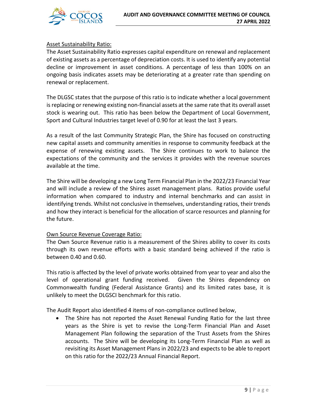

#### Asset Sustainability Ratio:

The Asset Sustainability Ratio expresses capital expenditure on renewal and replacement of existing assets as a percentage of depreciation costs. It is used to identify any potential decline or improvement in asset conditions. A percentage of less than 100% on an ongoing basis indicates assets may be deteriorating at a greater rate than spending on renewal or replacement.

The DLGSC states that the purpose of this ratio is to indicate whether a local government is replacing or renewing existing non-financial assets at the same rate that its overall asset stock is wearing out. This ratio has been below the Department of Local Government, Sport and Cultural Industries target level of 0.90 for at least the last 3 years.

As a result of the last Community Strategic Plan, the Shire has focused on constructing new capital assets and community amenities in response to community feedback at the expense of renewing existing assets. The Shire continues to work to balance the expectations of the community and the services it provides with the revenue sources available at the time.

The Shire will be developing a new Long Term Financial Plan in the 2022/23 Financial Year and will include a review of the Shires asset management plans. Ratios provide useful information when compared to industry and internal benchmarks and can assist in identifying trends. Whilst not conclusive in themselves, understanding ratios, their trends and how they interact is beneficial for the allocation of scarce resources and planning for the future.

#### Own Source Revenue Coverage Ratio:

The Own Source Revenue ratio is a measurement of the Shires ability to cover its costs through its own revenue efforts with a basic standard being achieved if the ratio is between 0.40 and 0.60.

This ratio is affected by the level of private works obtained from year to year and also the level of operational grant funding received. Given the Shires dependency on Commonwealth funding (Federal Assistance Grants) and its limited rates base, it is unlikely to meet the DLGSCI benchmark for this ratio.

The Audit Report also identified 4 items of non-compliance outlined below,

• The Shire has not reported the Asset Renewal Funding Ratio for the last three years as the Shire is yet to revise the Long-Term Financial Plan and Asset Management Plan following the separation of the Trust Assets from the Shires accounts. The Shire will be developing its Long-Term Financial Plan as well as revisiting its Asset Management Plans in 2022/23 and expects to be able to report on this ratio for the 2022/23 Annual Financial Report.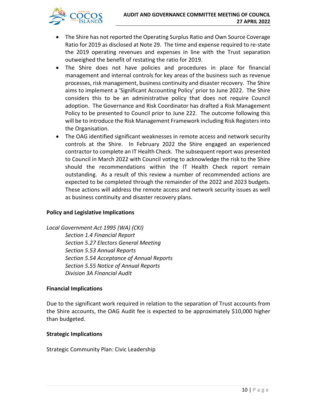

- The Shire has not reported the Operating Surplus Ratio and Own Source Coverage Ratio for 2019 as disclosed at Note 29. The time and expense required to re-state the 2019 operating revenues and expenses in line with the Trust separation outweighed the benefit of restating the ratio for 2019.
- The Shire does not have policies and procedures in place for financial management and internal controls for key areas of the business such as revenue processes, risk management, business continuity and disaster recovery. The Shire aims to implement a 'Significant Accounting Policy' prior to June 2022. The Shire considers this to be an administrative policy that does not require Council adoption. The Governance and Risk Coordinator has drafted a Risk Management Policy to be presented to Council prior to June 222. The outcome following this will be to introduce the Risk Management Framework including Risk Registers into the Organisation.
- The OAG identified significant weaknesses in remote access and network security controls at the Shire. In February 2022 the Shire engaged an experienced contractor to complete an IT Health Check. The subsequent report was presented to Council in March 2022 with Council voting to acknowledge the risk to the Shire should the recommendations within the IT Health Check report remain outstanding. As a result of this review a number of recommended actions are expected to be completed through the remainder of the 2022 and 2023 budgets. These actions will address the remote access and network security issues as well as business continuity and disaster recovery plans.

#### **Policy and Legislative Implications**

*Local Government Act 1995 (WA) (CKI) Section 1.4 Financial Report Section 5.27 Electors General Meeting Section 5.53 Annual Reports Section 5.54 Acceptance of Annual Reports Section 5.55 Notice of Annual Reports Division 3A Financial Audit*

#### **Financial Implications**

Due to the significant work required in relation to the separation of Trust accounts from the Shire accounts, the OAG Audit fee is expected to be approximately \$10,000 higher than budgeted.

#### **Strategic Implications**

Strategic Community Plan: Civic Leadership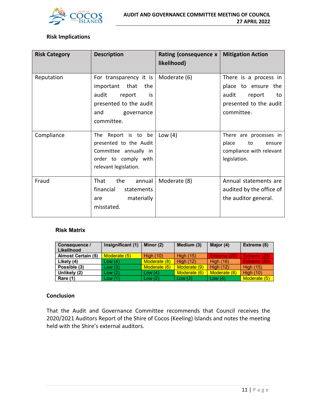

#### **Risk Implications**

| <b>Risk Category</b> | <b>Description</b>                                                                                                                       | Rating (consequence x<br>likelihood) | <b>Mitigation Action</b>                                                                                      |
|----------------------|------------------------------------------------------------------------------------------------------------------------------------------|--------------------------------------|---------------------------------------------------------------------------------------------------------------|
| Reputation           | For transparency it is<br>important that<br>the<br>audit<br>report<br>is is<br>presented to the audit<br>and<br>governance<br>committee. | Moderate (6)                         | There is a process in<br>place to ensure the<br>audit<br>report<br>to<br>presented to the audit<br>committee. |
| Compliance           | The Report is to be<br>presented to the Audit<br>Committee annually in<br>order to comply with<br>relevant legislation.                  | Low $(4)$                            | There are processes in<br>place<br>to<br>ensure<br>compliance with relevant<br>legislation.                   |
| Fraud                | That<br>the<br>annual<br>financial<br>statements<br>materially<br>are<br>misstated.                                                      | Moderate (8)                         | Annual statements are<br>audited by the office of<br>the auditor general.                                     |

#### **Risk Matrix**

| <b>Consequence /</b><br>Likelihood | Insignificant (1) | Minor (2)    | Medium (3)       | Major (4)        | Extreme (5)      |
|------------------------------------|-------------------|--------------|------------------|------------------|------------------|
| <b>Almost Certain (5)</b>          | Moderate (5)      | High $(10)$  | <b>High (15)</b> | Extreme (20)     | Extreme (25)     |
| Likely (4)                         | Low(4)            | Moderate (8) | <b>High (12)</b> | <b>High (16)</b> | Extreme (20)     |
| Possible (3)                       | Low(3)            | Moderate (6) | Moderate (9)     | <b>High (12)</b> | <b>High (15)</b> |
| Unlikely (2)                       | Low(2)            | Low $(4)$    | Moderate (6)     | Moderate (8)     | <b>High (10)</b> |
| Rare (1)                           | Low(1)            | Low(2)       | Low(3)           | Low $(4)$        | Moderate (5)     |

#### **Conclusion**

That the Audit and Governance Committee recommends that Council receives the 2020/2021 Auditors Report of the Shire of Cocos (Keeling) Islands and notes the meeting held with the Shire's external auditors.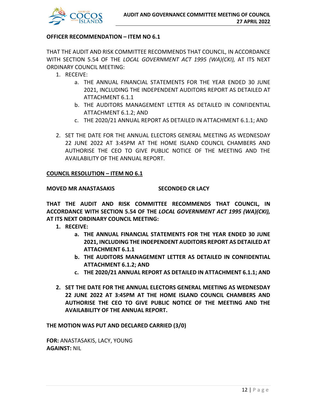

#### **OFFICER RECOMMENDATION – ITEM NO 6.1**

THAT THE AUDIT AND RISK COMMITTEE RECOMMENDS THAT COUNCIL, IN ACCORDANCE WITH SECTION 5.54 OF THE *LOCAL GOVERNMENT ACT 1995 (WA)(CKI),* AT ITS NEXT ORDINARY COUNCIL MEETING:

- 1. RECEIVE:
	- a. THE ANNUAL FINANCIAL STATEMENTS FOR THE YEAR ENDED 30 JUNE 2021, INCLUDING THE INDEPENDENT AUDITORS REPORT AS DETAILED AT ATTACHMENT 6.1.1
	- b. THE AUDITORS MANAGEMENT LETTER AS DETAILED IN CONFIDENTIAL ATTACHMENT 6.1.2; AND
	- c. THE 2020/21 ANNUAL REPORT AS DETAILED IN ATTACHMENT 6.1.1; AND
- 2. SET THE DATE FOR THE ANNUAL ELECTORS GENERAL MEETING AS WEDNESDAY 22 JUNE 2022 AT 3:45PM AT THE HOME ISLAND COUNCIL CHAMBERS AND AUTHORISE THE CEO TO GIVE PUBLIC NOTICE OF THE MEETING AND THE AVAILABILITY OF THE ANNUAL REPORT.

#### **COUNCIL RESOLUTION – ITEM NO 6.1**

#### **MOVED MR ANASTASAKIS SECONDED CR LACY**

**THAT THE AUDIT AND RISK COMMITTEE RECOMMENDS THAT COUNCIL, IN ACCORDANCE WITH SECTION 5.54 OF THE** *LOCAL GOVERNMENT ACT 1995 (WA)(CKI),* **AT ITS NEXT ORDINARY COUNCIL MEETING:** 

#### **1. RECEIVE:**

- **a. THE ANNUAL FINANCIAL STATEMENTS FOR THE YEAR ENDED 30 JUNE 2021, INCLUDING THE INDEPENDENT AUDITORS REPORT AS DETAILED AT ATTACHMENT 6.1.1**
- **b. THE AUDITORS MANAGEMENT LETTER AS DETAILED IN CONFIDENTIAL ATTACHMENT 6.1.2; AND**
- **c. THE 2020/21 ANNUAL REPORT AS DETAILED IN ATTACHMENT 6.1.1; AND**
- **2. SET THE DATE FOR THE ANNUAL ELECTORS GENERAL MEETING AS WEDNESDAY 22 JUNE 2022 AT 3:45PM AT THE HOME ISLAND COUNCIL CHAMBERS AND AUTHORISE THE CEO TO GIVE PUBLIC NOTICE OF THE MEETING AND THE AVAILABILITY OF THE ANNUAL REPORT.**

**THE MOTION WAS PUT AND DECLARED CARRIED (3/0)**

**FOR:** ANASTASAKIS, LACY, YOUNG **AGAINST:** NIL